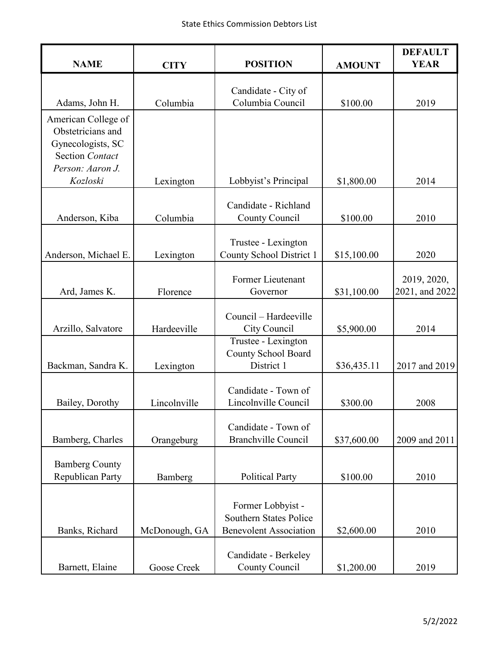| <b>NAME</b>                                 | <b>CITY</b>   | <b>POSITION</b>                                    | <b>AMOUNT</b> | <b>DEFAULT</b><br><b>YEAR</b> |
|---------------------------------------------|---------------|----------------------------------------------------|---------------|-------------------------------|
|                                             |               |                                                    |               |                               |
| Adams, John H.                              | Columbia      | Candidate - City of<br>Columbia Council            | \$100.00      | 2019                          |
| American College of                         |               |                                                    |               |                               |
| Obstetricians and                           |               |                                                    |               |                               |
| Gynecologists, SC<br><b>Section Contact</b> |               |                                                    |               |                               |
| Person: Aaron J.                            |               |                                                    |               |                               |
| Kozloski                                    | Lexington     | Lobbyist's Principal                               | \$1,800.00    | 2014                          |
|                                             |               | Candidate - Richland                               |               |                               |
| Anderson, Kiba                              | Columbia      | County Council                                     | \$100.00      | 2010                          |
|                                             |               | Trustee - Lexington                                |               |                               |
| Anderson, Michael E.                        | Lexington     | County School District 1                           | \$15,100.00   | 2020                          |
|                                             |               | Former Lieutenant                                  |               |                               |
| Ard, James K.                               | Florence      | Governor                                           | \$31,100.00   | 2019, 2020,<br>2021, and 2022 |
|                                             |               |                                                    |               |                               |
| Arzillo, Salvatore                          | Hardeeville   | Council - Hardeeville<br>City Council              | \$5,900.00    | 2014                          |
|                                             |               | Trustee - Lexington                                |               |                               |
|                                             |               | County School Board<br>District 1                  |               | 2017 and 2019                 |
| Backman, Sandra K.                          | Lexington     |                                                    | \$36,435.11   |                               |
|                                             |               | Candidate - Town of                                |               |                               |
| Bailey, Dorothy                             | Lincolnville  | Lincolnville Council                               | \$300.00      | 2008                          |
|                                             |               | Candidate - Town of                                |               |                               |
| Bamberg, Charles                            | Orangeburg    | <b>Branchville Council</b>                         | \$37,600.00   | 2009 and 2011                 |
| <b>Bamberg County</b>                       |               |                                                    |               |                               |
| Republican Party                            | Bamberg       | <b>Political Party</b>                             | \$100.00      | 2010                          |
|                                             |               |                                                    |               |                               |
|                                             |               | Former Lobbyist -<br><b>Southern States Police</b> |               |                               |
| Banks, Richard                              | McDonough, GA | <b>Benevolent Association</b>                      | \$2,600.00    | 2010                          |
|                                             |               |                                                    |               |                               |
| Barnett, Elaine                             | Goose Creek   | Candidate - Berkeley<br>County Council             | \$1,200.00    | 2019                          |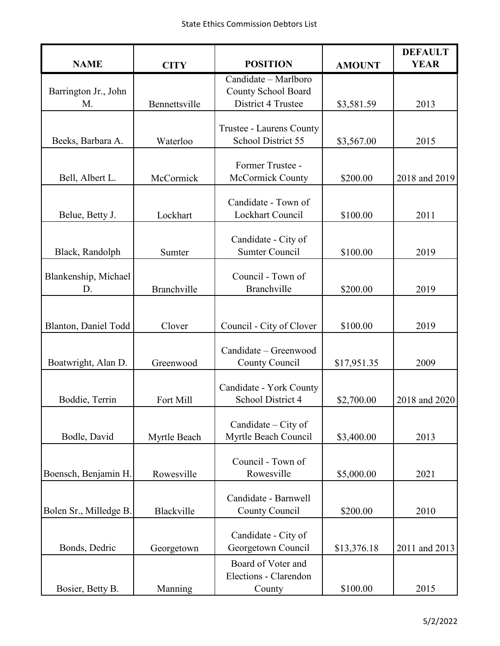| <b>NAME</b>                | <b>CITY</b>   | <b>POSITION</b>                                | <b>AMOUNT</b> | <b>DEFAULT</b><br><b>YEAR</b> |
|----------------------------|---------------|------------------------------------------------|---------------|-------------------------------|
|                            |               | Candidate - Marlboro                           |               |                               |
| Barrington Jr., John       |               | County School Board                            |               |                               |
| M.                         | Bennettsville | District 4 Trustee                             | \$3,581.59    | 2013                          |
|                            |               |                                                |               |                               |
| Beeks, Barbara A.          | Waterloo      | Trustee - Laurens County<br>School District 55 | \$3,567.00    | 2015                          |
|                            |               |                                                |               |                               |
|                            |               | Former Trustee -                               |               |                               |
| Bell, Albert L.            | McCormick     | McCormick County                               | \$200.00      | 2018 and 2019                 |
|                            |               |                                                |               |                               |
| Belue, Betty J.            | Lockhart      | Candidate - Town of<br>Lockhart Council        | \$100.00      | 2011                          |
|                            |               |                                                |               |                               |
|                            |               | Candidate - City of                            |               |                               |
| Black, Randolph            | Sumter        | <b>Sumter Council</b>                          | \$100.00      | 2019                          |
|                            |               | Council - Town of                              |               |                               |
| Blankenship, Michael<br>D. | Branchville   | Branchville                                    | \$200.00      | 2019                          |
|                            |               |                                                |               |                               |
|                            |               |                                                |               |                               |
| Blanton, Daniel Todd       | Clover        | Council - City of Clover                       | \$100.00      | 2019                          |
|                            |               | Candidate - Greenwood                          |               |                               |
| Boatwright, Alan D.        | Greenwood     | County Council                                 | \$17,951.35   | 2009                          |
|                            |               |                                                |               |                               |
|                            |               | Candidate - York County                        |               |                               |
| Boddie, Terrin             | Fort Mill     | School District 4                              | \$2,700.00    | 2018 and 2020                 |
|                            |               | Candidate – City of                            |               |                               |
| Bodle, David               | Myrtle Beach  | Myrtle Beach Council                           | \$3,400.00    | 2013                          |
|                            |               |                                                |               |                               |
|                            |               | Council - Town of                              |               |                               |
| Boensch, Benjamin H.       | Rowesville    | Rowesville                                     | \$5,000.00    | 2021                          |
|                            |               | Candidate - Barnwell                           |               |                               |
| Bolen Sr., Milledge B.     | Blackville    | <b>County Council</b>                          | \$200.00      | 2010                          |
|                            |               |                                                |               |                               |
|                            |               | Candidate - City of                            |               |                               |
| Bonds, Dedric              | Georgetown    | Georgetown Council                             | \$13,376.18   | 2011 and 2013                 |
|                            |               | Board of Voter and<br>Elections - Clarendon    |               |                               |
| Bosier, Betty B.           | Manning       | County                                         | \$100.00      | 2015                          |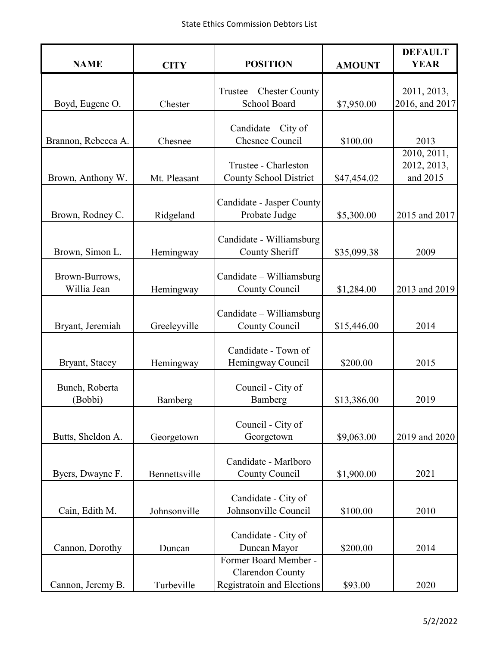| <b>NAME</b>         | <b>CITY</b>   | <b>POSITION</b>                               | <b>AMOUNT</b> | <b>DEFAULT</b><br><b>YEAR</b> |
|---------------------|---------------|-----------------------------------------------|---------------|-------------------------------|
|                     |               |                                               |               |                               |
|                     |               | Trustee – Chester County                      |               | 2011, 2013,                   |
| Boyd, Eugene O.     | Chester       | School Board                                  | \$7,950.00    | 2016, and 2017                |
|                     |               |                                               |               |                               |
| Brannon, Rebecca A. | Chesnee       | Candidate – City of<br><b>Chesnee Council</b> | \$100.00      | 2013                          |
|                     |               |                                               |               | 2010, 2011,                   |
|                     |               | Trustee - Charleston                          |               | 2012, 2013,                   |
| Brown, Anthony W.   | Mt. Pleasant  | <b>County School District</b>                 | \$47,454.02   | and 2015                      |
|                     |               |                                               |               |                               |
|                     |               | Candidate - Jasper County                     |               |                               |
| Brown, Rodney C.    | Ridgeland     | Probate Judge                                 | \$5,300.00    | 2015 and 2017                 |
|                     |               | Candidate - Williamsburg                      |               |                               |
| Brown, Simon L.     | Hemingway     | County Sheriff                                | \$35,099.38   | 2009                          |
|                     |               |                                               |               |                               |
| Brown-Burrows,      |               | Candidate - Williamsburg                      |               |                               |
| Willia Jean         | Hemingway     | County Council                                | \$1,284.00    | 2013 and 2019                 |
|                     |               |                                               |               |                               |
| Bryant, Jeremiah    | Greeleyville  | Candidate – Williamsburg<br>County Council    | \$15,446.00   | 2014                          |
|                     |               |                                               |               |                               |
|                     |               | Candidate - Town of                           |               |                               |
| Bryant, Stacey      | Hemingway     | Hemingway Council                             | \$200.00      | 2015                          |
|                     |               |                                               |               |                               |
| Bunch, Roberta      |               | Council - City of                             |               |                               |
| (Bobbi)             | Bamberg       | Bamberg                                       | \$13,386.00   | 2019                          |
|                     |               | Council - City of                             |               |                               |
| Butts, Sheldon A.   | Georgetown    | Georgetown                                    | \$9,063.00    | 2019 and 2020                 |
|                     |               |                                               |               |                               |
|                     |               | Candidate - Marlboro                          |               |                               |
| Byers, Dwayne F.    | Bennettsville | County Council                                | \$1,900.00    | 2021                          |
|                     |               |                                               |               |                               |
| Cain, Edith M.      | Johnsonville  | Candidate - City of<br>Johnsonville Council   | \$100.00      | 2010                          |
|                     |               |                                               |               |                               |
|                     |               | Candidate - City of                           |               |                               |
| Cannon, Dorothy     | Duncan        | Duncan Mayor                                  | \$200.00      | 2014                          |
|                     |               | Former Board Member -                         |               |                               |
|                     |               | Clarendon County                              |               |                               |
| Cannon, Jeremy B.   | Turbeville    | Registratoin and Elections                    | \$93.00       | 2020                          |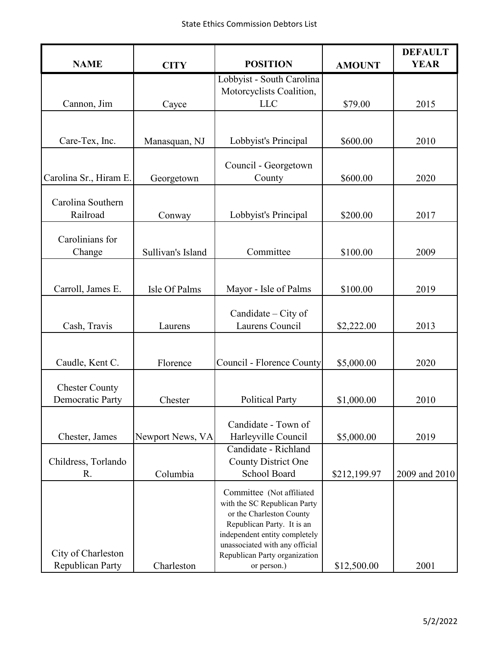| <b>NAME</b>                                      | <b>CITY</b>       | <b>POSITION</b>                                                                                                                                                                                                                        | <b>AMOUNT</b> | <b>DEFAULT</b><br><b>YEAR</b> |
|--------------------------------------------------|-------------------|----------------------------------------------------------------------------------------------------------------------------------------------------------------------------------------------------------------------------------------|---------------|-------------------------------|
|                                                  |                   | Lobbyist - South Carolina<br>Motorcyclists Coalition,                                                                                                                                                                                  |               |                               |
| Cannon, Jim                                      | Cayce             | <b>LLC</b>                                                                                                                                                                                                                             | \$79.00       | 2015                          |
| Care-Tex, Inc.                                   | Manasquan, NJ     | Lobbyist's Principal                                                                                                                                                                                                                   | \$600.00      | 2010                          |
|                                                  |                   |                                                                                                                                                                                                                                        |               |                               |
| Carolina Sr., Hiram E.                           | Georgetown        | Council - Georgetown<br>County                                                                                                                                                                                                         | \$600.00      | 2020                          |
| Carolina Southern<br>Railroad                    | Conway            | Lobbyist's Principal                                                                                                                                                                                                                   | \$200.00      | 2017                          |
| Carolinians for<br>Change                        | Sullivan's Island | Committee                                                                                                                                                                                                                              | \$100.00      | 2009                          |
| Carroll, James E.                                | Isle Of Palms     | Mayor - Isle of Palms                                                                                                                                                                                                                  | \$100.00      | 2019                          |
| Cash, Travis                                     | Laurens           | Candidate - City of<br>Laurens Council                                                                                                                                                                                                 | \$2,222.00    | 2013                          |
| Caudle, Kent C.                                  | Florence          | Council - Florence County                                                                                                                                                                                                              | \$5,000.00    | 2020                          |
| <b>Chester County</b><br><b>Democratic Party</b> | Chester           | <b>Political Party</b>                                                                                                                                                                                                                 | \$1,000.00    | 2010                          |
| Chester, James                                   | Newport News, VA  | Candidate - Town of<br>Harleyville Council                                                                                                                                                                                             | \$5,000.00    | 2019                          |
| Childress, Torlando<br>R.                        | Columbia          | Candidate - Richland<br><b>County District One</b><br>School Board                                                                                                                                                                     | \$212,199.97  | 2009 and 2010                 |
| City of Charleston<br>Republican Party           | Charleston        | Committee (Not affiliated<br>with the SC Republican Party<br>or the Charleston County<br>Republican Party. It is an<br>independent entity completely<br>unassociated with any official<br>Republican Party organization<br>or person.) | \$12,500.00   | 2001                          |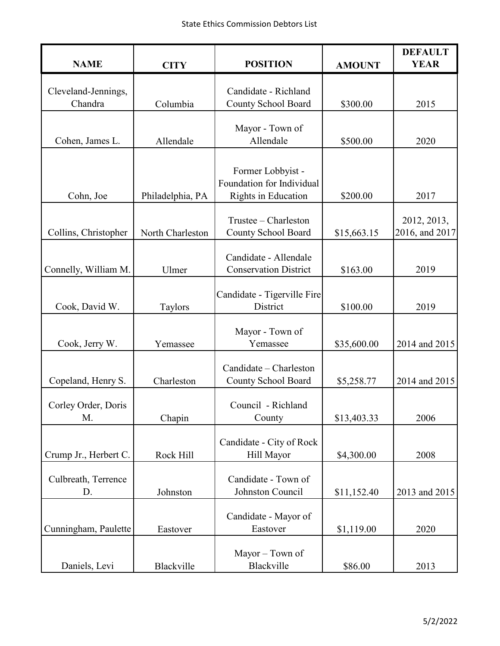| <b>NAME</b>                    | <b>CITY</b>      | <b>POSITION</b>                                                       | <b>AMOUNT</b> | <b>DEFAULT</b><br><b>YEAR</b> |
|--------------------------------|------------------|-----------------------------------------------------------------------|---------------|-------------------------------|
| Cleveland-Jennings,<br>Chandra | Columbia         | Candidate - Richland<br>County School Board                           | \$300.00      | 2015                          |
| Cohen, James L.                | Allendale        | Mayor - Town of<br>Allendale                                          | \$500.00      | 2020                          |
| Cohn, Joe                      | Philadelphia, PA | Former Lobbyist -<br>Foundation for Individual<br>Rights in Education | \$200.00      | 2017                          |
| Collins, Christopher           | North Charleston | Trustee - Charleston<br><b>County School Board</b>                    | \$15,663.15   | 2012, 2013,<br>2016, and 2017 |
| Connelly, William M.           | Ulmer            | Candidate - Allendale<br><b>Conservation District</b>                 | \$163.00      | 2019                          |
| Cook, David W.                 | Taylors          | Candidate - Tigerville Fire<br>District                               | \$100.00      | 2019                          |
| Cook, Jerry W.                 | Yemassee         | Mayor - Town of<br>Yemassee                                           | \$35,600.00   | 2014 and 2015                 |
| Copeland, Henry S.             | Charleston       | Candidate - Charleston<br>County School Board                         | \$5,258.77    | 2014 and 2015                 |
| Corley Order, Doris<br>M.      | Chapin           | Council - Richland<br>County                                          | \$13,403.33   | 2006                          |
| Crump Jr., Herbert C.          | Rock Hill        | Candidate - City of Rock<br>Hill Mayor                                | \$4,300.00    | 2008                          |
| Culbreath, Terrence<br>D.      | Johnston         | Candidate - Town of<br>Johnston Council                               | \$11,152.40   | 2013 and 2015                 |
| Cunningham, Paulette           | Eastover         | Candidate - Mayor of<br>Eastover                                      | \$1,119.00    | 2020                          |
| Daniels, Levi                  | Blackville       | Mayor - Town of<br>Blackville                                         | \$86.00       | 2013                          |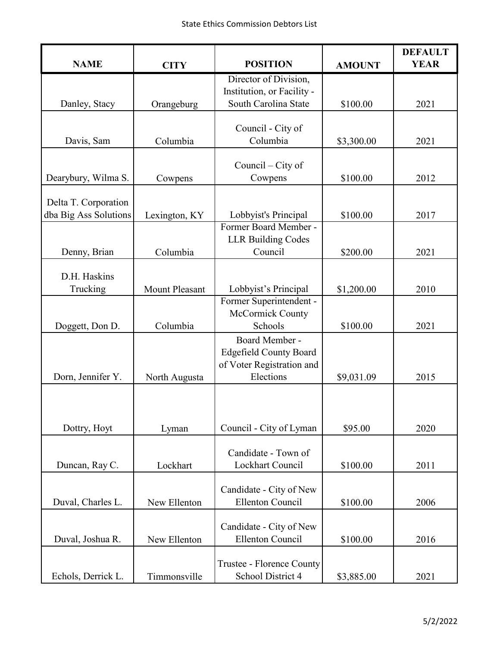| <b>NAME</b>                                   | <b>CITY</b>    | <b>POSITION</b>                                                                           | <b>AMOUNT</b> | <b>DEFAULT</b><br><b>YEAR</b> |
|-----------------------------------------------|----------------|-------------------------------------------------------------------------------------------|---------------|-------------------------------|
|                                               |                | Director of Division,<br>Institution, or Facility -                                       |               |                               |
| Danley, Stacy                                 | Orangeburg     | South Carolina State                                                                      | \$100.00      | 2021                          |
| Davis, Sam                                    | Columbia       | Council - City of<br>Columbia                                                             | \$3,300.00    | 2021                          |
| Dearybury, Wilma S.                           | Cowpens        | Council $-$ City of<br>Cowpens                                                            | \$100.00      | 2012                          |
| Delta T. Corporation<br>dba Big Ass Solutions | Lexington, KY  | Lobbyist's Principal                                                                      | \$100.00      | 2017                          |
| Denny, Brian                                  | Columbia       | Former Board Member -<br><b>LLR Building Codes</b><br>Council                             | \$200.00      | 2021                          |
| D.H. Haskins<br>Trucking                      | Mount Pleasant | Lobbyist's Principal                                                                      | \$1,200.00    | 2010                          |
| Doggett, Don D.                               | Columbia       | Former Superintendent -<br>McCormick County<br>Schools                                    | \$100.00      | 2021                          |
| Dorn, Jennifer Y.                             | North Augusta  | Board Member -<br><b>Edgefield County Board</b><br>of Voter Registration and<br>Elections | \$9,031.09    | 2015                          |
| Dottry, Hoyt                                  | Lyman          | Council - City of Lyman                                                                   | \$95.00       | 2020                          |
| Duncan, Ray C.                                | Lockhart       | Candidate - Town of<br>Lockhart Council                                                   | \$100.00      | 2011                          |
| Duval, Charles L.                             | New Ellenton   | Candidate - City of New<br><b>Ellenton Council</b>                                        | \$100.00      | 2006                          |
| Duval, Joshua R.                              | New Ellenton   | Candidate - City of New<br><b>Ellenton Council</b>                                        | \$100.00      | 2016                          |
| Echols, Derrick L.                            | Timmonsville   | Trustee - Florence County<br>School District 4                                            | \$3,885.00    | 2021                          |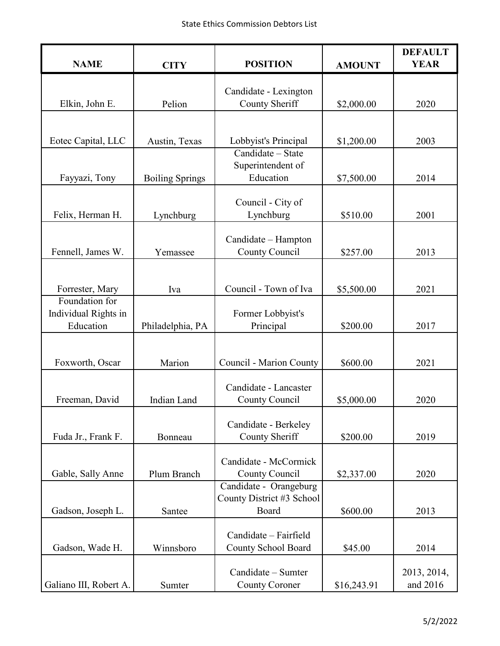| <b>NAME</b>                       | <b>CITY</b>            | <b>POSITION</b>                                     | <b>AMOUNT</b> | <b>DEFAULT</b><br><b>YEAR</b> |
|-----------------------------------|------------------------|-----------------------------------------------------|---------------|-------------------------------|
|                                   |                        |                                                     |               |                               |
| Elkin, John E.                    | Pelion                 | Candidate - Lexington<br>County Sheriff             | \$2,000.00    | 2020                          |
|                                   |                        |                                                     |               |                               |
|                                   |                        |                                                     |               |                               |
| Eotec Capital, LLC                | Austin, Texas          | Lobbyist's Principal<br>Candidate - State           | \$1,200.00    | 2003                          |
|                                   |                        | Superintendent of                                   |               |                               |
| Fayyazi, Tony                     | <b>Boiling Springs</b> | Education                                           | \$7,500.00    | 2014                          |
|                                   |                        | Council - City of                                   |               |                               |
| Felix, Herman H.                  | Lynchburg              | Lynchburg                                           | \$510.00      | 2001                          |
|                                   |                        |                                                     |               |                               |
| Fennell, James W.                 | Yemassee               | Candidate - Hampton<br><b>County Council</b>        | \$257.00      | 2013                          |
|                                   |                        |                                                     |               |                               |
|                                   |                        |                                                     |               |                               |
| Forrester, Mary<br>Foundation for | Iva                    | Council - Town of Iva                               | \$5,500.00    | 2021                          |
| Individual Rights in              |                        | Former Lobbyist's                                   |               |                               |
| Education                         | Philadelphia, PA       | Principal                                           | \$200.00      | 2017                          |
|                                   |                        |                                                     |               |                               |
| Foxworth, Oscar                   | Marion                 | Council - Marion County                             | \$600.00      | 2021                          |
|                                   |                        |                                                     |               |                               |
| Freeman, David                    | Indian Land            | Candidate - Lancaster<br>County Council             | \$5,000.00    | 2020                          |
|                                   |                        |                                                     |               |                               |
|                                   |                        | Candidate - Berkeley                                |               |                               |
| Fuda Jr., Frank F.                | Bonneau                | County Sheriff                                      | \$200.00      | 2019                          |
|                                   |                        | Candidate - McCormick                               |               |                               |
| Gable, Sally Anne                 | Plum Branch            | County Council                                      | \$2,337.00    | 2020                          |
|                                   |                        | Candidate - Orangeburg<br>County District #3 School |               |                               |
| Gadson, Joseph L.                 | Santee                 | Board                                               | \$600.00      | 2013                          |
|                                   |                        |                                                     |               |                               |
| Gadson, Wade H.                   | Winnsboro              | Candidate - Fairfield<br>County School Board        | \$45.00       | 2014                          |
|                                   |                        |                                                     |               |                               |
|                                   |                        | Candidate - Sumter                                  |               | 2013, 2014,                   |
| Galiano III, Robert A.            | Sumter                 | <b>County Coroner</b>                               | \$16,243.91   | and 2016                      |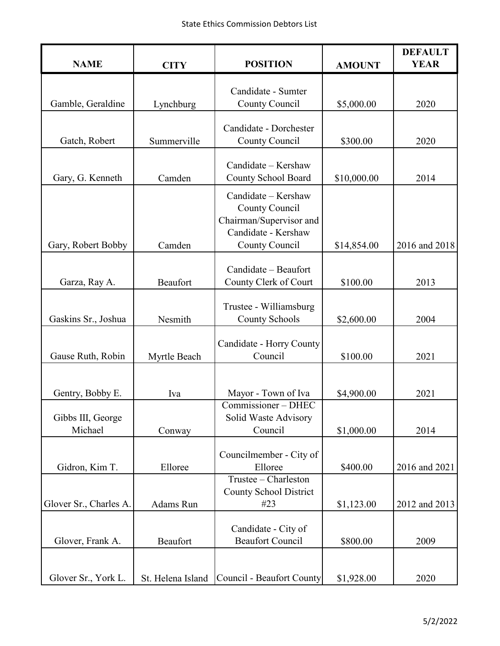| <b>NAME</b>                  | <b>CITY</b>       | <b>POSITION</b>                                                                                           | <b>AMOUNT</b> | <b>DEFAULT</b><br><b>YEAR</b> |
|------------------------------|-------------------|-----------------------------------------------------------------------------------------------------------|---------------|-------------------------------|
|                              |                   | Candidate - Sumter                                                                                        |               |                               |
| Gamble, Geraldine            | Lynchburg         | County Council                                                                                            | \$5,000.00    | 2020                          |
|                              |                   | Candidate - Dorchester                                                                                    |               |                               |
| Gatch, Robert                | Summerville       | County Council                                                                                            | \$300.00      | 2020                          |
| Gary, G. Kenneth             | Camden            | Candidate - Kershaw<br>County School Board                                                                | \$10,000.00   | 2014                          |
| Gary, Robert Bobby           | Camden            | Candidate - Kershaw<br>County Council<br>Chairman/Supervisor and<br>Candidate - Kershaw<br>County Council | \$14,854.00   | 2016 and 2018                 |
| Garza, Ray A.                | <b>Beaufort</b>   | Candidate - Beaufort<br>County Clerk of Court                                                             | \$100.00      | 2013                          |
| Gaskins Sr., Joshua          | Nesmith           | Trustee - Williamsburg<br><b>County Schools</b>                                                           | \$2,600.00    | 2004                          |
| Gause Ruth, Robin            | Myrtle Beach      | Candidate - Horry County<br>Council                                                                       | \$100.00      | 2021                          |
| Gentry, Bobby E.             | Iva               | Mayor - Town of Iva                                                                                       | \$4,900.00    | 2021                          |
| Gibbs III, George<br>Michael | Conway            | Commissioner - DHEC<br>Solid Waste Advisory<br>Council                                                    | \$1,000.00    | 2014                          |
| Gidron, Kim T.               | Elloree           | Councilmember - City of<br>Elloree                                                                        | \$400.00      | 2016 and 2021                 |
| Glover Sr., Charles A.       | Adams Run         | Trustee – Charleston<br><b>County School District</b><br>#23                                              | \$1,123.00    | 2012 and 2013                 |
| Glover, Frank A.             | Beaufort          | Candidate - City of<br><b>Beaufort Council</b>                                                            | \$800.00      | 2009                          |
| Glover Sr., York L.          | St. Helena Island | <b>Council - Beaufort County</b>                                                                          | \$1,928.00    | 2020                          |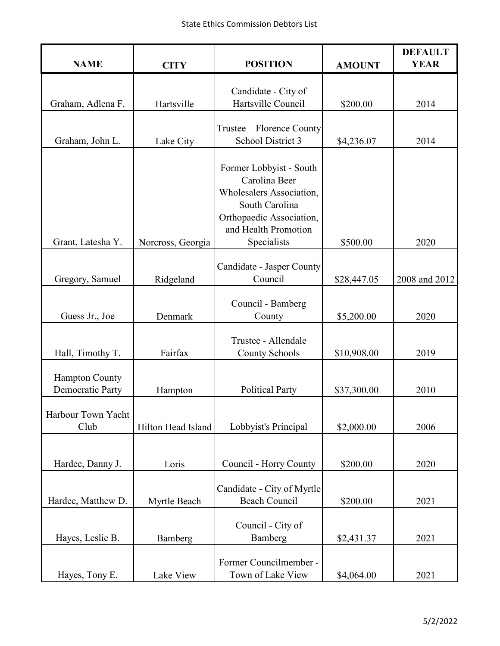| <b>NAME</b>                                      | <b>CITY</b>        | <b>POSITION</b>                                                                                                                                           | <b>AMOUNT</b> | <b>DEFAULT</b><br><b>YEAR</b> |
|--------------------------------------------------|--------------------|-----------------------------------------------------------------------------------------------------------------------------------------------------------|---------------|-------------------------------|
|                                                  |                    |                                                                                                                                                           |               |                               |
| Graham, Adlena F.                                | Hartsville         | Candidate - City of<br>Hartsville Council                                                                                                                 | \$200.00      | 2014                          |
|                                                  |                    | Trustee – Florence County                                                                                                                                 |               |                               |
| Graham, John L.                                  | Lake City          | School District 3                                                                                                                                         | \$4,236.07    | 2014                          |
| Grant, Latesha Y.                                | Norcross, Georgia  | Former Lobbyist - South<br>Carolina Beer<br>Wholesalers Association,<br>South Carolina<br>Orthopaedic Association,<br>and Health Promotion<br>Specialists | \$500.00      | 2020                          |
|                                                  |                    |                                                                                                                                                           |               |                               |
| Gregory, Samuel                                  | Ridgeland          | Candidate - Jasper County<br>Council                                                                                                                      | \$28,447.05   | 2008 and 2012                 |
| Guess Jr., Joe                                   | Denmark            | Council - Bamberg<br>County                                                                                                                               | \$5,200.00    | 2020                          |
| Hall, Timothy T.                                 | Fairfax            | Trustee - Allendale<br><b>County Schools</b>                                                                                                              | \$10,908.00   | 2019                          |
| <b>Hampton County</b><br><b>Democratic Party</b> | Hampton            | <b>Political Party</b>                                                                                                                                    | \$37,300.00   | 2010                          |
| Harbour Town Yacht<br>Club                       | Hilton Head Island | Lobbyist's Principal                                                                                                                                      | \$2,000.00    | 2006                          |
| Hardee, Danny J.                                 | Loris              | Council - Horry County                                                                                                                                    | \$200.00      | 2020                          |
| Hardee, Matthew D.                               | Myrtle Beach       | Candidate - City of Myrtle<br><b>Beach Council</b>                                                                                                        | \$200.00      | 2021                          |
| Hayes, Leslie B.                                 | Bamberg            | Council - City of<br>Bamberg                                                                                                                              | \$2,431.37    | 2021                          |
| Hayes, Tony E.                                   | Lake View          | Former Councilmember -<br>Town of Lake View                                                                                                               | \$4,064.00    | 2021                          |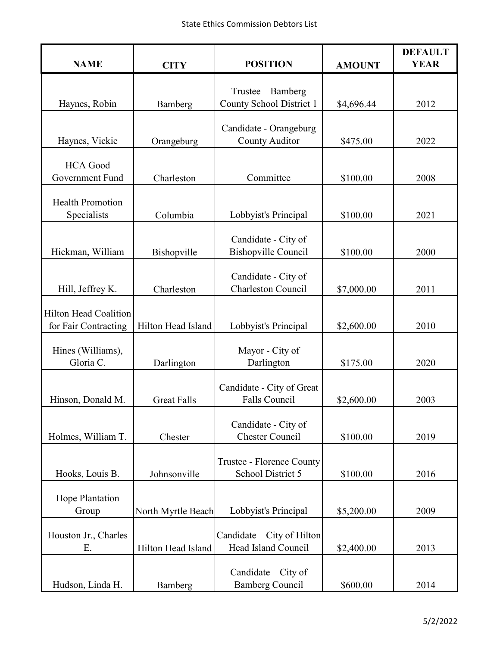| <b>NAME</b>                                          | <b>CITY</b>        | <b>POSITION</b>                                   | <b>AMOUNT</b> | <b>DEFAULT</b><br><b>YEAR</b> |
|------------------------------------------------------|--------------------|---------------------------------------------------|---------------|-------------------------------|
| Haynes, Robin                                        |                    | Trustee – Bamberg<br>County School District 1     | \$4,696.44    | 2012                          |
|                                                      | Bamberg            |                                                   |               |                               |
| Haynes, Vickie                                       | Orangeburg         | Candidate - Orangeburg<br><b>County Auditor</b>   | \$475.00      | 2022                          |
| <b>HCA</b> Good<br>Government Fund                   | Charleston         | Committee                                         | \$100.00      | 2008                          |
| <b>Health Promotion</b><br>Specialists               | Columbia           | Lobbyist's Principal                              | \$100.00      | 2021                          |
| Hickman, William                                     | Bishopville        | Candidate - City of<br><b>Bishopville Council</b> | \$100.00      | 2000                          |
| Hill, Jeffrey K.                                     | Charleston         | Candidate - City of<br><b>Charleston Council</b>  | \$7,000.00    | 2011                          |
| <b>Hilton Head Coalition</b><br>for Fair Contracting | Hilton Head Island | Lobbyist's Principal                              | \$2,600.00    | 2010                          |
| Hines (Williams),<br>Gloria C.                       | Darlington         | Mayor - City of<br>Darlington                     | \$175.00      | 2020                          |
| Hinson, Donald M.                                    | <b>Great Falls</b> | Candidate - City of Great<br>Falls Council        | \$2,600.00    | 2003                          |
| Holmes, William T.                                   | Chester            | Candidate - City of<br><b>Chester Council</b>     | \$100.00      | 2019                          |
| Hooks, Louis B.                                      | Johnsonville       | Trustee - Florence County<br>School District 5    | \$100.00      | 2016                          |
| Hope Plantation<br>Group                             | North Myrtle Beach | Lobbyist's Principal                              | \$5,200.00    | 2009                          |
| Houston Jr., Charles<br>Ε.                           | Hilton Head Island | Candidate – City of Hilton<br>Head Island Council | \$2,400.00    | 2013                          |
| Hudson, Linda H.                                     | Bamberg            | Candidate $-$ City of<br><b>Bamberg Council</b>   | \$600.00      | 2014                          |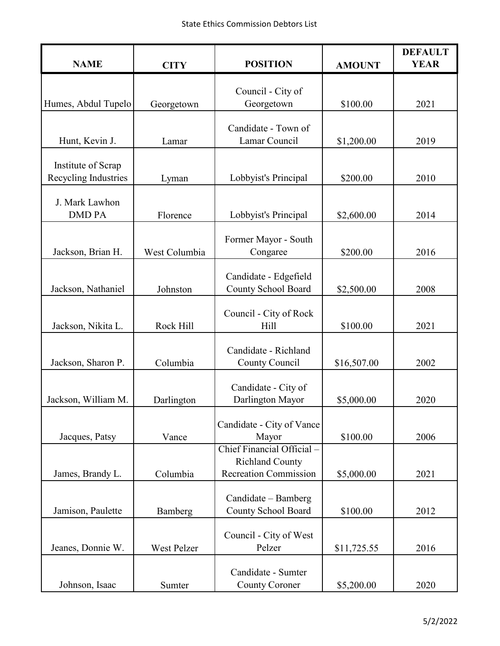| <b>NAME</b>          | <b>CITY</b>   | <b>POSITION</b>                                     | <b>AMOUNT</b> | <b>DEFAULT</b><br><b>YEAR</b> |
|----------------------|---------------|-----------------------------------------------------|---------------|-------------------------------|
|                      |               |                                                     |               |                               |
| Humes, Abdul Tupelo  | Georgetown    | Council - City of<br>Georgetown                     | \$100.00      | 2021                          |
|                      |               |                                                     |               |                               |
|                      |               | Candidate - Town of                                 |               |                               |
| Hunt, Kevin J.       | Lamar         | Lamar Council                                       | \$1,200.00    | 2019                          |
| Institute of Scrap   |               |                                                     |               |                               |
| Recycling Industries | Lyman         | Lobbyist's Principal                                | \$200.00      | 2010                          |
| J. Mark Lawhon       |               |                                                     |               |                               |
| <b>DMD PA</b>        | Florence      | Lobbyist's Principal                                | \$2,600.00    | 2014                          |
|                      |               |                                                     |               |                               |
| Jackson, Brian H.    | West Columbia | Former Mayor - South<br>Congaree                    | \$200.00      | 2016                          |
|                      |               |                                                     |               |                               |
| Jackson, Nathaniel   | Johnston      | Candidate - Edgefield<br><b>County School Board</b> |               | 2008                          |
|                      |               |                                                     | \$2,500.00    |                               |
|                      |               | Council - City of Rock                              |               |                               |
| Jackson, Nikita L.   | Rock Hill     | Hill                                                | \$100.00      | 2021                          |
|                      |               | Candidate - Richland                                |               |                               |
| Jackson, Sharon P.   | Columbia      | County Council                                      | \$16,507.00   | 2002                          |
|                      |               | Candidate - City of                                 |               |                               |
| Jackson, William M.  | Darlington    | Darlington Mayor                                    | \$5,000.00    | 2020                          |
|                      |               |                                                     |               |                               |
| Jacques, Patsy       | Vance         | Candidate - City of Vance<br>Mayor                  | \$100.00      | 2006                          |
|                      |               | Chief Financial Official -                          |               |                               |
|                      |               | <b>Richland County</b>                              |               |                               |
| James, Brandy L.     | Columbia      | <b>Recreation Commission</b>                        | \$5,000.00    | 2021                          |
|                      |               | Candidate - Bamberg                                 |               |                               |
| Jamison, Paulette    | Bamberg       | County School Board                                 | \$100.00      | 2012                          |
|                      |               | Council - City of West                              |               |                               |
| Jeanes, Donnie W.    | West Pelzer   | Pelzer                                              | \$11,725.55   | 2016                          |
|                      |               |                                                     |               |                               |
|                      |               | Candidate - Sumter                                  |               |                               |
| Johnson, Isaac       | Sumter        | <b>County Coroner</b>                               | \$5,200.00    | 2020                          |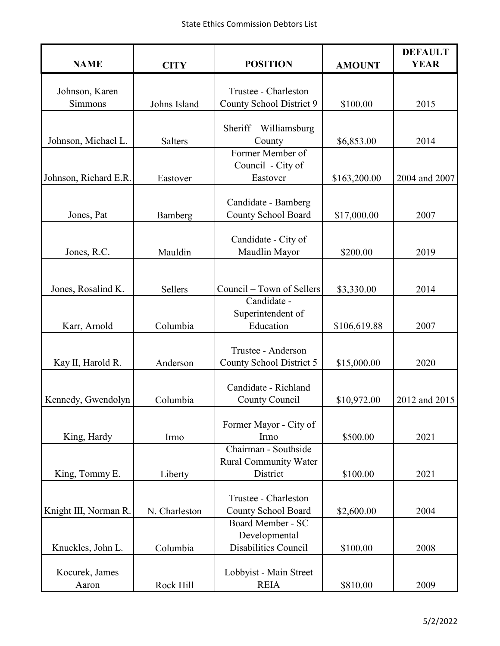| <b>NAME</b>             | <b>CITY</b>    | <b>POSITION</b>                                   | <b>AMOUNT</b> | <b>DEFAULT</b><br><b>YEAR</b> |
|-------------------------|----------------|---------------------------------------------------|---------------|-------------------------------|
|                         |                |                                                   |               |                               |
| Johnson, Karen          |                | Trustee - Charleston                              |               |                               |
| Simmons                 | Johns Island   | County School District 9                          | \$100.00      | 2015                          |
|                         |                | Sheriff – Williamsburg                            |               |                               |
| Johnson, Michael L.     | <b>Salters</b> | County                                            | \$6,853.00    | 2014                          |
|                         |                | Former Member of                                  |               |                               |
|                         |                | Council - City of                                 |               |                               |
| Johnson, Richard E.R.   | Eastover       | Eastover                                          | \$163,200.00  | 2004 and 2007                 |
|                         |                |                                                   |               |                               |
| Jones, Pat              |                | Candidate - Bamberg<br><b>County School Board</b> | \$17,000.00   | 2007                          |
|                         | Bamberg        |                                                   |               |                               |
|                         |                | Candidate - City of                               |               |                               |
| Jones, R.C.             | Mauldin        | Maudlin Mayor                                     | \$200.00      | 2019                          |
|                         |                |                                                   |               |                               |
|                         |                |                                                   |               |                               |
| Jones, Rosalind K.      | Sellers        | Council – Town of Sellers<br>Candidate -          | \$3,330.00    | 2014                          |
|                         |                | Superintendent of                                 |               |                               |
| Karr, Arnold            | Columbia       | Education                                         | \$106,619.88  | 2007                          |
|                         |                |                                                   |               |                               |
|                         |                | Trustee - Anderson                                |               |                               |
| Kay II, Harold R.       | Anderson       | County School District 5                          | \$15,000.00   | 2020                          |
|                         |                | Candidate - Richland                              |               |                               |
| Kennedy, Gwendolyn      | Columbia       | County Council                                    | \$10,972.00   | 2012 and 2015                 |
|                         |                |                                                   |               |                               |
|                         |                | Former Mayor - City of                            |               |                               |
| King, Hardy             | Irmo           | Irmo                                              | \$500.00      | 2021                          |
|                         |                | Chairman - Southside                              |               |                               |
|                         |                | <b>Rural Community Water</b>                      |               |                               |
| King, Tommy E.          | Liberty        | District                                          | \$100.00      | 2021                          |
|                         |                | Trustee - Charleston                              |               |                               |
| Knight III, Norman R.   | N. Charleston  | County School Board                               | \$2,600.00    | 2004                          |
|                         |                | Board Member - SC                                 |               |                               |
|                         |                | Developmental                                     |               |                               |
| Knuckles, John L.       | Columbia       | Disabilities Council                              | \$100.00      | 2008                          |
|                         |                |                                                   |               |                               |
| Kocurek, James<br>Aaron | Rock Hill      | Lobbyist - Main Street<br><b>REIA</b>             | \$810.00      | 2009                          |
|                         |                |                                                   |               |                               |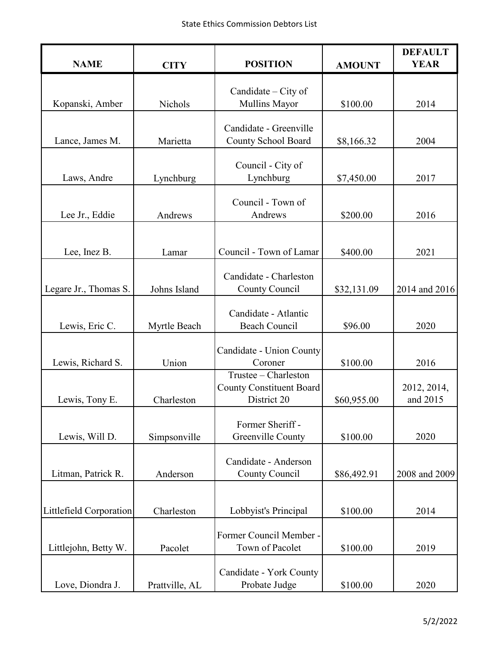| <b>NAME</b>             | <b>CITY</b>    | <b>POSITION</b>                              | <b>AMOUNT</b> | <b>DEFAULT</b><br><b>YEAR</b> |
|-------------------------|----------------|----------------------------------------------|---------------|-------------------------------|
|                         |                |                                              |               |                               |
| Kopanski, Amber         | Nichols        | Candidate – City of<br>Mullins Mayor         | \$100.00      | 2014                          |
|                         |                |                                              |               |                               |
|                         |                | Candidate - Greenville                       |               |                               |
| Lance, James M.         | Marietta       | County School Board                          | \$8,166.32    | 2004                          |
|                         |                | Council - City of                            |               |                               |
| Laws, Andre             | Lynchburg      | Lynchburg                                    | \$7,450.00    | 2017                          |
|                         |                |                                              |               |                               |
| Lee Jr., Eddie          | Andrews        | Council - Town of<br>Andrews                 | \$200.00      | 2016                          |
|                         |                |                                              |               |                               |
|                         |                |                                              |               |                               |
| Lee, Inez B.            | Lamar          | Council - Town of Lamar                      | \$400.00      | 2021                          |
|                         |                | Candidate - Charleston                       |               |                               |
| Legare Jr., Thomas S.   | Johns Island   | County Council                               | \$32,131.09   | 2014 and 2016                 |
|                         |                |                                              |               |                               |
| Lewis, Eric C.          | Myrtle Beach   | Candidate - Atlantic<br><b>Beach Council</b> | \$96.00       | 2020                          |
|                         |                |                                              |               |                               |
|                         |                | Candidate - Union County                     |               |                               |
| Lewis, Richard S.       | Union          | Coroner<br>Trustee - Charleston              | \$100.00      | 2016                          |
|                         |                | <b>County Constituent Board</b>              |               | 2012, 2014,                   |
| Lewis, Tony E.          | Charleston     | District 20                                  | \$60,955.00   | and 2015                      |
|                         |                |                                              |               |                               |
| Lewis, Will D.          | Simpsonville   | Former Sheriff -<br>Greenville County        | \$100.00      | 2020                          |
|                         |                |                                              |               |                               |
|                         |                | Candidate - Anderson                         |               |                               |
| Litman, Patrick R.      | Anderson       | County Council                               | \$86,492.91   | 2008 and 2009                 |
|                         |                |                                              |               |                               |
| Littlefield Corporation | Charleston     | Lobbyist's Principal                         | \$100.00      | 2014                          |
|                         |                |                                              |               |                               |
| Littlejohn, Betty W.    | Pacolet        | Former Council Member -<br>Town of Pacolet   | \$100.00      | 2019                          |
|                         |                |                                              |               |                               |
|                         |                | Candidate - York County                      |               |                               |
| Love, Diondra J.        | Prattville, AL | Probate Judge                                | \$100.00      | 2020                          |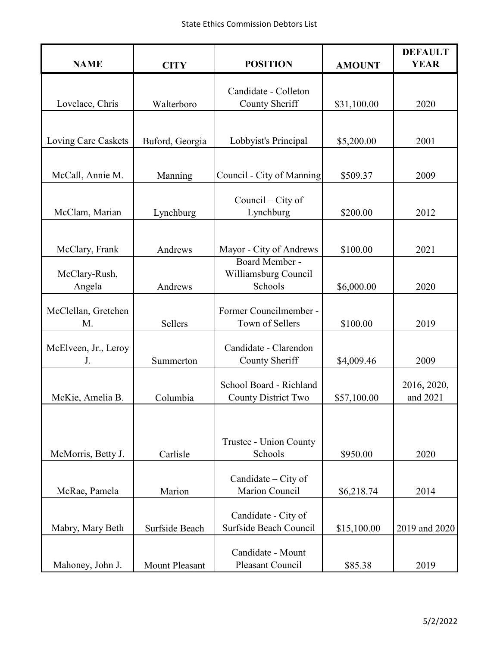| <b>NAME</b>                | <b>CITY</b>           | <b>POSITION</b>                                       | <b>AMOUNT</b> | <b>DEFAULT</b><br><b>YEAR</b> |
|----------------------------|-----------------------|-------------------------------------------------------|---------------|-------------------------------|
|                            |                       | Candidate - Colleton                                  |               |                               |
| Lovelace, Chris            | Walterboro            | County Sheriff                                        | \$31,100.00   | 2020                          |
|                            |                       |                                                       |               |                               |
| Loving Care Caskets        | Buford, Georgia       | Lobbyist's Principal                                  | \$5,200.00    | 2001                          |
| McCall, Annie M.           | Manning               | Council - City of Manning                             | \$509.37      | 2009                          |
| McClam, Marian             | Lynchburg             | Council $-$ City of<br>Lynchburg                      | \$200.00      | 2012                          |
|                            |                       |                                                       |               |                               |
| McClary, Frank             | Andrews               | Mayor - City of Andrews                               | \$100.00      | 2021                          |
| McClary-Rush,<br>Angela    | Andrews               | Board Member -<br>Williamsburg Council<br>Schools     | \$6,000.00    | 2020                          |
| McClellan, Gretchen<br>M.  | Sellers               | Former Councilmember -<br>Town of Sellers             | \$100.00      | 2019                          |
| McElveen, Jr., Leroy<br>J. | Summerton             | Candidate - Clarendon<br>County Sheriff               | \$4,009.46    | 2009                          |
| McKie, Amelia B.           | Columbia              | School Board - Richland<br><b>County District Two</b> | \$57,100.00   | 2016, 2020,<br>and 2021       |
| McMorris, Betty J.         | Carlisle              | Trustee - Union County<br>Schools                     | \$950.00      | 2020                          |
|                            |                       |                                                       |               |                               |
| McRae, Pamela              | Marion                | Candidate $-$ City of<br>Marion Council               | \$6,218.74    | 2014                          |
| Mabry, Mary Beth           | Surfside Beach        | Candidate - City of<br>Surfside Beach Council         | \$15,100.00   | 2019 and 2020                 |
| Mahoney, John J.           | <b>Mount Pleasant</b> | Candidate - Mount<br>Pleasant Council                 | \$85.38       | 2019                          |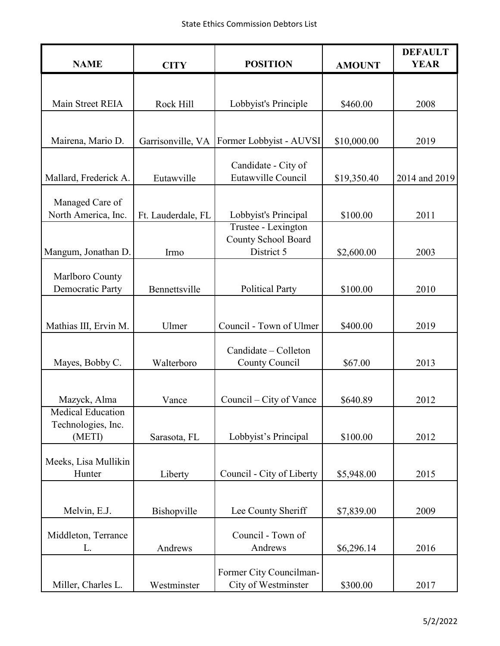| <b>NAME</b>                                              | <b>CITY</b>        | <b>POSITION</b>                                          | <b>AMOUNT</b> | <b>DEFAULT</b><br><b>YEAR</b> |
|----------------------------------------------------------|--------------------|----------------------------------------------------------|---------------|-------------------------------|
|                                                          |                    |                                                          |               |                               |
| Main Street REIA                                         | Rock Hill          | Lobbyist's Principle                                     | \$460.00      | 2008                          |
|                                                          |                    |                                                          |               |                               |
| Mairena, Mario D.                                        | Garrisonville, VA  | Former Lobbyist - AUVSI                                  | \$10,000.00   | 2019                          |
| Mallard, Frederick A.                                    | Eutawville         | Candidate - City of<br>Eutawville Council                | \$19,350.40   | 2014 and 2019                 |
| Managed Care of<br>North America, Inc.                   | Ft. Lauderdale, FL | Lobbyist's Principal                                     | \$100.00      | 2011                          |
| Mangum, Jonathan D.                                      | Irmo               | Trustee - Lexington<br>County School Board<br>District 5 | \$2,600.00    | 2003                          |
| Marlboro County<br><b>Democratic Party</b>               | Bennettsville      | <b>Political Party</b>                                   | \$100.00      | 2010                          |
|                                                          |                    | Council - Town of Ulmer                                  |               |                               |
| Mathias III, Ervin M.                                    | Ulmer              |                                                          | \$400.00      | 2019                          |
| Mayes, Bobby C.                                          | Walterboro         | Candidate – Colleton<br>County Council                   | \$67.00       | 2013                          |
| Mazyck, Alma                                             | Vance              | Council – City of Vance                                  | \$640.89      | 2012                          |
| <b>Medical Education</b><br>Technologies, Inc.<br>(METI) | Sarasota, FL       | Lobbyist's Principal                                     | \$100.00      | 2012                          |
| Meeks, Lisa Mullikin<br>Hunter                           | Liberty            | Council - City of Liberty                                | \$5,948.00    | 2015                          |
|                                                          |                    |                                                          |               |                               |
| Melvin, E.J.                                             | Bishopville        | Lee County Sheriff                                       | \$7,839.00    | 2009                          |
| Middleton, Terrance<br>L.                                | Andrews            | Council - Town of<br>Andrews                             | \$6,296.14    | 2016                          |
| Miller, Charles L.                                       | Westminster        | Former City Councilman-<br>City of Westminster           | \$300.00      | 2017                          |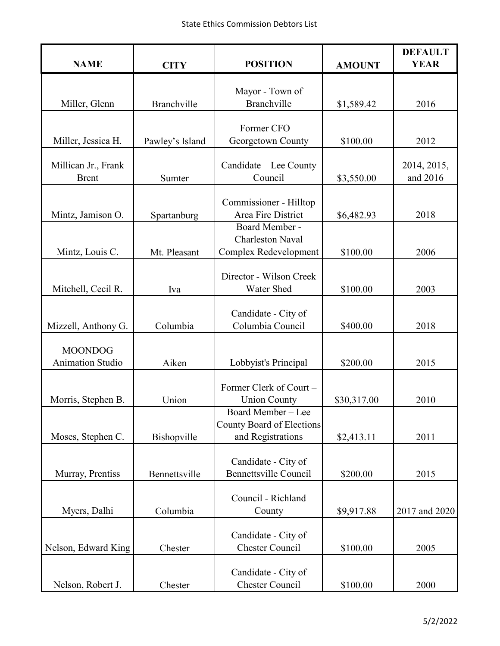| <b>NAME</b>                         | <b>CITY</b>     | <b>POSITION</b>                                       | <b>AMOUNT</b> | <b>DEFAULT</b><br><b>YEAR</b> |
|-------------------------------------|-----------------|-------------------------------------------------------|---------------|-------------------------------|
|                                     |                 |                                                       |               |                               |
| Miller, Glenn                       | Branchville     | Mayor - Town of<br>Branchville                        | \$1,589.42    | 2016                          |
|                                     |                 |                                                       |               |                               |
| Miller, Jessica H.                  | Pawley's Island | Former CFO-<br>Georgetown County                      | \$100.00      | 2012                          |
|                                     |                 |                                                       |               |                               |
| Millican Jr., Frank<br><b>Brent</b> | Sumter          | Candidate – Lee County<br>Council                     | \$3,550.00    | 2014, 2015,<br>and 2016       |
|                                     |                 |                                                       |               |                               |
|                                     |                 | Commissioner - Hilltop                                |               |                               |
| Mintz, Jamison O.                   | Spartanburg     | Area Fire District<br>Board Member -                  | \$6,482.93    | 2018                          |
|                                     |                 | <b>Charleston Naval</b>                               |               |                               |
| Mintz, Louis C.                     | Mt. Pleasant    | Complex Redevelopment                                 | \$100.00      | 2006                          |
|                                     |                 | Director - Wilson Creek                               |               |                               |
| Mitchell, Cecil R.                  | Iva             | Water Shed                                            | \$100.00      | 2003                          |
|                                     |                 | Candidate - City of                                   |               |                               |
| Mizzell, Anthony G.                 | Columbia        | Columbia Council                                      | \$400.00      | 2018                          |
| <b>MOONDOG</b>                      |                 |                                                       |               |                               |
| <b>Animation Studio</b>             | Aiken           | Lobbyist's Principal                                  | \$200.00      | 2015                          |
|                                     |                 | Former Clerk of Court -                               |               |                               |
| Morris, Stephen B.                  | Union           | <b>Union County</b>                                   | \$30,317.00   | 2010                          |
|                                     |                 | Board Member - Lee                                    |               |                               |
| Moses, Stephen C.                   | Bishopville     | <b>County Board of Elections</b><br>and Registrations | \$2,413.11    | 2011                          |
|                                     |                 |                                                       |               |                               |
| Murray, Prentiss                    | Bennettsville   | Candidate - City of<br><b>Bennettsville Council</b>   | \$200.00      | 2015                          |
|                                     |                 |                                                       |               |                               |
|                                     |                 | Council - Richland                                    |               |                               |
| Myers, Dalhi                        | Columbia        | County                                                | \$9,917.88    | 2017 and 2020                 |
|                                     |                 | Candidate - City of                                   |               |                               |
| Nelson, Edward King                 | Chester         | <b>Chester Council</b>                                | \$100.00      | 2005                          |
|                                     |                 | Candidate - City of                                   |               |                               |
| Nelson, Robert J.                   | Chester         | <b>Chester Council</b>                                | \$100.00      | 2000                          |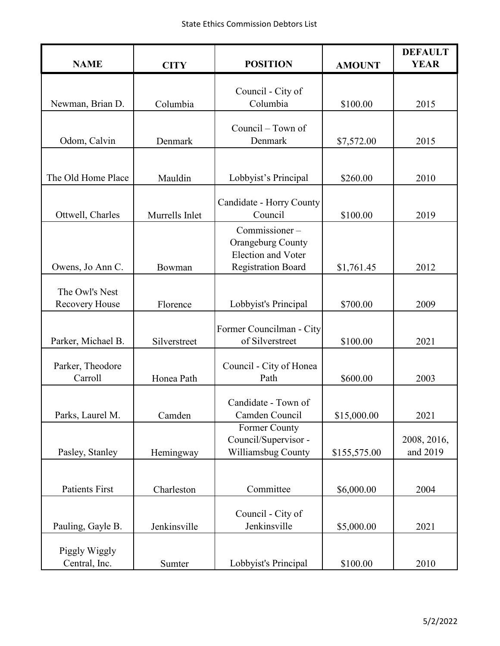| <b>NAME</b>                    | <b>CITY</b>    | <b>POSITION</b>                                       | <b>AMOUNT</b> | <b>DEFAULT</b><br><b>YEAR</b> |
|--------------------------------|----------------|-------------------------------------------------------|---------------|-------------------------------|
|                                |                | Council - City of                                     |               |                               |
| Newman, Brian D.               | Columbia       | Columbia                                              | \$100.00      | 2015                          |
|                                |                | Council - Town of                                     |               |                               |
| Odom, Calvin                   | Denmark        | Denmark                                               | \$7,572.00    | 2015                          |
|                                |                |                                                       |               |                               |
| The Old Home Place             | Mauldin        | Lobbyist's Principal                                  | \$260.00      | 2010                          |
|                                |                | Candidate - Horry County                              |               |                               |
| Ottwell, Charles               | Murrells Inlet | Council                                               | \$100.00      | 2019                          |
|                                |                | Commissioner-                                         |               |                               |
|                                |                | <b>Orangeburg County</b><br><b>Election and Voter</b> |               |                               |
| Owens, Jo Ann C.               | Bowman         | <b>Registration Board</b>                             | \$1,761.45    | 2012                          |
| The Owl's Nest                 |                |                                                       |               |                               |
| <b>Recovery House</b>          | Florence       | Lobbyist's Principal                                  | \$700.00      | 2009                          |
|                                |                | Former Councilman - City                              |               |                               |
| Parker, Michael B.             | Silverstreet   | of Silverstreet                                       | \$100.00      | 2021                          |
| Parker, Theodore               |                |                                                       |               |                               |
| Carroll                        | Honea Path     | Council - City of Honea<br>Path                       | \$600.00      | 2003                          |
|                                |                |                                                       |               |                               |
| Parks, Laurel M.               | Camden         | Candidate - Town of<br>Camden Council                 | \$15,000.00   | 2021                          |
|                                |                | Former County                                         |               |                               |
| Pasley, Stanley                | Hemingway      | Council/Supervisor -<br>Williamsbug County            | \$155,575.00  | 2008, 2016,<br>and 2019       |
|                                |                |                                                       |               |                               |
| <b>Patients First</b>          | Charleston     | Committee                                             | \$6,000.00    | 2004                          |
|                                |                |                                                       |               |                               |
| Pauling, Gayle B.              | Jenkinsville   | Council - City of<br>Jenkinsville                     | \$5,000.00    | 2021                          |
|                                |                |                                                       |               |                               |
| Piggly Wiggly<br>Central, Inc. | Sumter         | Lobbyist's Principal                                  | \$100.00      | 2010                          |
|                                |                |                                                       |               |                               |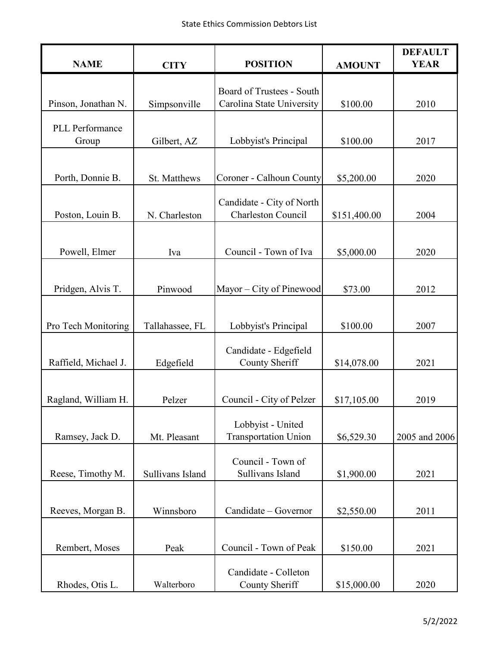| <b>NAME</b>          | <b>CITY</b>      | <b>POSITION</b>                                        | <b>AMOUNT</b> | <b>DEFAULT</b><br><b>YEAR</b> |
|----------------------|------------------|--------------------------------------------------------|---------------|-------------------------------|
|                      |                  |                                                        |               |                               |
| Pinson, Jonathan N.  | Simpsonville     | Board of Trustees - South<br>Carolina State University | \$100.00      | 2010                          |
| PLL Performance      |                  |                                                        |               |                               |
| Group                | Gilbert, AZ      | Lobbyist's Principal                                   | \$100.00      | 2017                          |
|                      |                  |                                                        |               |                               |
| Porth, Donnie B.     | St. Matthews     | Coroner - Calhoun County                               | \$5,200.00    | 2020                          |
| Poston, Louin B.     | N. Charleston    | Candidate - City of North<br><b>Charleston Council</b> | \$151,400.00  | 2004                          |
|                      |                  |                                                        |               |                               |
| Powell, Elmer        | Iva              | Council - Town of Iva                                  | \$5,000.00    | 2020                          |
|                      |                  |                                                        |               |                               |
| Pridgen, Alvis T.    | Pinwood          | Mayor – City of Pinewood                               | \$73.00       | 2012                          |
|                      |                  |                                                        |               |                               |
| Pro Tech Monitoring  | Tallahassee, FL  | Lobbyist's Principal                                   | \$100.00      | 2007                          |
| Raffield, Michael J. | Edgefield        | Candidate - Edgefield<br>County Sheriff                | \$14,078.00   | 2021                          |
|                      |                  |                                                        |               |                               |
| Ragland, William H.  | Pelzer           | Council - City of Pelzer                               | \$17,105.00   | 2019                          |
|                      |                  |                                                        |               |                               |
| Ramsey, Jack D.      | Mt. Pleasant     | Lobbyist - United<br><b>Transportation Union</b>       | \$6,529.30    | 2005 and 2006                 |
|                      |                  | Council - Town of                                      |               |                               |
| Reese, Timothy M.    | Sullivans Island | Sullivans Island                                       | \$1,900.00    | 2021                          |
|                      |                  |                                                        |               |                               |
| Reeves, Morgan B.    | Winnsboro        | Candidate - Governor                                   | \$2,550.00    | 2011                          |
|                      |                  |                                                        |               |                               |
| Rembert, Moses       | Peak             | Council - Town of Peak                                 | \$150.00      | 2021                          |
|                      |                  | Candidate - Colleton                                   |               |                               |
| Rhodes, Otis L.      | Walterboro       | County Sheriff                                         | \$15,000.00   | 2020                          |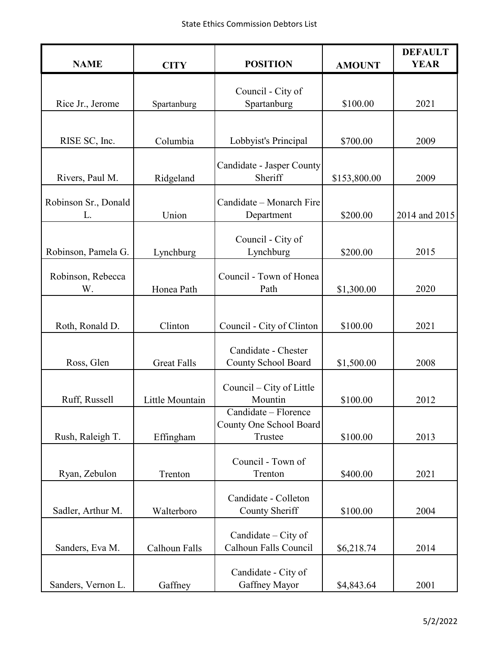| <b>NAME</b>                | <b>CITY</b>        | <b>POSITION</b>                                            | <b>AMOUNT</b> | <b>DEFAULT</b><br><b>YEAR</b> |
|----------------------------|--------------------|------------------------------------------------------------|---------------|-------------------------------|
|                            |                    |                                                            |               |                               |
| Rice Jr., Jerome           | Spartanburg        | Council - City of<br>Spartanburg                           | \$100.00      | 2021                          |
|                            |                    |                                                            |               |                               |
| RISE SC, Inc.              | Columbia           | Lobbyist's Principal                                       | \$700.00      | 2009                          |
| Rivers, Paul M.            | Ridgeland          | Candidate - Jasper County<br>Sheriff                       | \$153,800.00  | 2009                          |
| Robinson Sr., Donald<br>L. | Union              | Candidate - Monarch Fire<br>Department                     | \$200.00      | 2014 and 2015                 |
| Robinson, Pamela G.        | Lynchburg          | Council - City of<br>Lynchburg                             | \$200.00      | 2015                          |
| Robinson, Rebecca<br>W.    | Honea Path         | Council - Town of Honea<br>Path                            | \$1,300.00    | 2020                          |
|                            |                    |                                                            |               |                               |
| Roth, Ronald D.            | Clinton            | Council - City of Clinton                                  | \$100.00      | 2021                          |
| Ross, Glen                 | <b>Great Falls</b> | Candidate - Chester<br>County School Board                 | \$1,500.00    | 2008                          |
| Ruff, Russell              | Little Mountain    | Council – City of Little<br>Mountin                        | \$100.00      | 2012                          |
| Rush, Raleigh T.           | Effingham          | Candidate – Florence<br>County One School Board<br>Trustee | \$100.00      | 2013                          |
| Ryan, Zebulon              | Trenton            | Council - Town of<br>Trenton                               | \$400.00      | 2021                          |
| Sadler, Arthur M.          | Walterboro         | Candidate - Colleton<br>County Sheriff                     | \$100.00      | 2004                          |
| Sanders, Eva M.            | Calhoun Falls      | Candidate – City of<br>Calhoun Falls Council               | \$6,218.74    | 2014                          |
| Sanders, Vernon L.         | Gaffney            | Candidate - City of<br>Gaffney Mayor                       | \$4,843.64    | 2001                          |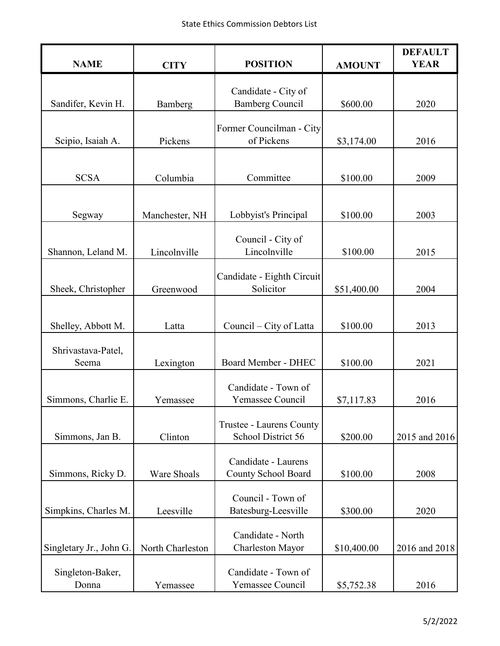| <b>NAME</b>               | <b>CITY</b>        | <b>POSITION</b>                                | <b>AMOUNT</b> | <b>DEFAULT</b><br><b>YEAR</b> |
|---------------------------|--------------------|------------------------------------------------|---------------|-------------------------------|
|                           |                    |                                                |               |                               |
| Sandifer, Kevin H.        | Bamberg            | Candidate - City of<br><b>Bamberg Council</b>  | \$600.00      | 2020                          |
|                           |                    |                                                |               |                               |
|                           |                    | Former Councilman - City                       |               |                               |
| Scipio, Isaiah A.         | Pickens            | of Pickens                                     | \$3,174.00    | 2016                          |
|                           |                    |                                                |               |                               |
| <b>SCSA</b>               | Columbia           | Committee                                      | \$100.00      | 2009                          |
|                           |                    |                                                |               |                               |
| Segway                    | Manchester, NH     | Lobbyist's Principal                           | \$100.00      | 2003                          |
|                           |                    | Council - City of                              |               |                               |
| Shannon, Leland M.        | Lincolnville       | Lincolnville                                   | \$100.00      | 2015                          |
|                           |                    |                                                |               |                               |
| Sheek, Christopher        | Greenwood          | Candidate - Eighth Circuit<br>Solicitor        | \$51,400.00   | 2004                          |
|                           |                    |                                                |               |                               |
|                           |                    |                                                |               |                               |
| Shelley, Abbott M.        | Latta              | Council – City of Latta                        | \$100.00      | 2013                          |
| Shrivastava-Patel,        |                    |                                                |               |                               |
| Seema                     | Lexington          | Board Member - DHEC                            | \$100.00      | 2021                          |
|                           |                    | Candidate - Town of                            |               |                               |
| Simmons, Charlie E.       | Yemassee           | Yemassee Council                               | \$7,117.83    | 2016                          |
|                           |                    |                                                |               |                               |
| Simmons, Jan B.           | Clinton            | Trustee - Laurens County<br>School District 56 | \$200.00      | 2015 and 2016                 |
|                           |                    |                                                |               |                               |
|                           |                    | Candidate - Laurens                            |               |                               |
| Simmons, Ricky D.         | <b>Ware Shoals</b> | <b>County School Board</b>                     | \$100.00      | 2008                          |
|                           |                    | Council - Town of                              |               |                               |
| Simpkins, Charles M.      | Leesville          | Batesburg-Leesville                            | \$300.00      | 2020                          |
|                           |                    | Candidate - North                              |               |                               |
| Singletary Jr., John G.   | North Charleston   | Charleston Mayor                               | \$10,400.00   | 2016 and 2018                 |
|                           |                    | Candidate - Town of                            |               |                               |
| Singleton-Baker,<br>Donna | Yemassee           | Yemassee Council                               | \$5,752.38    | 2016                          |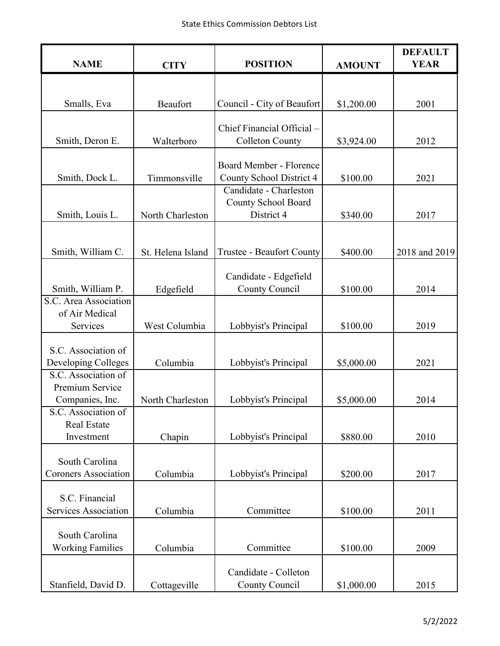| <b>NAME</b>                                               | <b>CITY</b>       | <b>POSITION</b>                                             | <b>AMOUNT</b> | <b>DEFAULT</b><br><b>YEAR</b> |
|-----------------------------------------------------------|-------------------|-------------------------------------------------------------|---------------|-------------------------------|
|                                                           |                   |                                                             |               |                               |
| Smalls, Eva                                               | Beaufort          | Council - City of Beaufort                                  | \$1,200.00    | 2001                          |
| Smith, Deron E.                                           | Walterboro        | Chief Financial Official -<br><b>Colleton County</b>        | \$3,924.00    | 2012                          |
| Smith, Dock L.                                            | Timmonsville      | Board Member - Florence<br>County School District 4         | \$100.00      | 2021                          |
| Smith, Louis L.                                           | North Charleston  | Candidate - Charleston<br>County School Board<br>District 4 | \$340.00      | 2017                          |
| Smith, William C.                                         | St. Helena Island | Trustee - Beaufort County                                   | \$400.00      | 2018 and 2019                 |
| Smith, William P.                                         | Edgefield         | Candidate - Edgefield<br>County Council                     | \$100.00      | 2014                          |
| S.C. Area Association<br>of Air Medical<br>Services       | West Columbia     | Lobbyist's Principal                                        | \$100.00      | 2019                          |
| S.C. Association of<br>Developing Colleges                | Columbia          | Lobbyist's Principal                                        | \$5,000.00    | 2021                          |
| S.C. Association of<br>Premium Service<br>Companies, Inc. | North Charleston  | Lobbyist's Principal                                        | \$5,000.00    | 2014                          |
| S.C. Association of<br><b>Real Estate</b><br>Investment   | Chapin            | Lobbyist's Principal                                        | \$880.00      | 2010                          |
| South Carolina<br><b>Coroners Association</b>             | Columbia          | Lobbyist's Principal                                        | \$200.00      | 2017                          |
| S.C. Financial<br>Services Association                    | Columbia          | Committee                                                   | \$100.00      | 2011                          |
| South Carolina<br><b>Working Families</b>                 | Columbia          | Committee                                                   | \$100.00      | 2009                          |
| Stanfield, David D.                                       | Cottageville      | Candidate - Colleton<br>County Council                      | \$1,000.00    | 2015                          |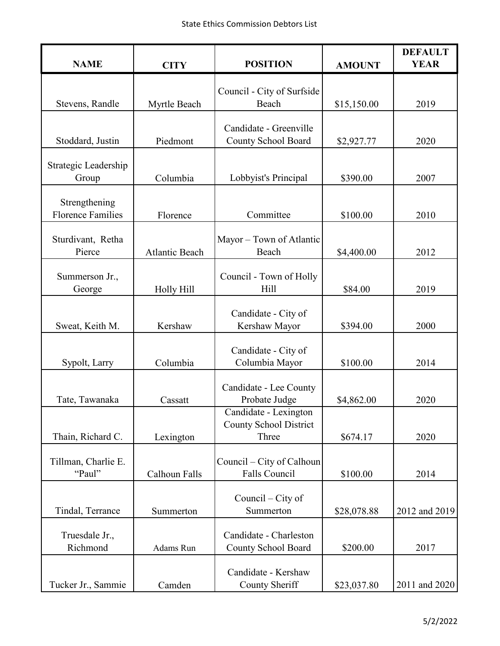| <b>NAME</b>                               | <b>CITY</b>           | <b>POSITION</b>                                                 | <b>AMOUNT</b> | <b>DEFAULT</b><br><b>YEAR</b> |
|-------------------------------------------|-----------------------|-----------------------------------------------------------------|---------------|-------------------------------|
|                                           |                       |                                                                 |               |                               |
| Stevens, Randle                           | Myrtle Beach          | Council - City of Surfside<br>Beach                             | \$15,150.00   | 2019                          |
|                                           |                       | Candidate - Greenville                                          |               |                               |
| Stoddard, Justin                          | Piedmont              | County School Board                                             | \$2,927.77    | 2020                          |
| Strategic Leadership<br>Group             | Columbia              | Lobbyist's Principal                                            | \$390.00      | 2007                          |
| Strengthening<br><b>Florence Families</b> | Florence              | Committee                                                       | \$100.00      | 2010                          |
| Sturdivant, Retha<br>Pierce               | <b>Atlantic Beach</b> | Mayor - Town of Atlantic<br>Beach                               | \$4,400.00    | 2012                          |
| Summerson Jr.,<br>George                  | Holly Hill            | Council - Town of Holly<br>Hill                                 | \$84.00       | 2019                          |
| Sweat, Keith M.                           | Kershaw               | Candidate - City of<br>Kershaw Mayor                            | \$394.00      | 2000                          |
| Sypolt, Larry                             | Columbia              | Candidate - City of<br>Columbia Mayor                           | \$100.00      | 2014                          |
| Tate, Tawanaka                            | Cassatt               | Candidate - Lee County<br>Probate Judge                         | \$4,862.00    | 2020                          |
| Thain, Richard C.                         | Lexington             | Candidate - Lexington<br><b>County School District</b><br>Three | \$674.17      | 2020                          |
| Tillman, Charlie E.<br>"Paul"             | Calhoun Falls         | Council – City of Calhoun<br>Falls Council                      | \$100.00      | 2014                          |
| Tindal, Terrance                          | Summerton             | Council $-$ City of<br>Summerton                                | \$28,078.88   | 2012 and 2019                 |
| Truesdale Jr.,<br>Richmond                | Adams Run             | Candidate - Charleston<br>County School Board                   | \$200.00      | 2017                          |
| Tucker Jr., Sammie                        | Camden                | Candidate - Kershaw<br>County Sheriff                           | \$23,037.80   | 2011 and 2020                 |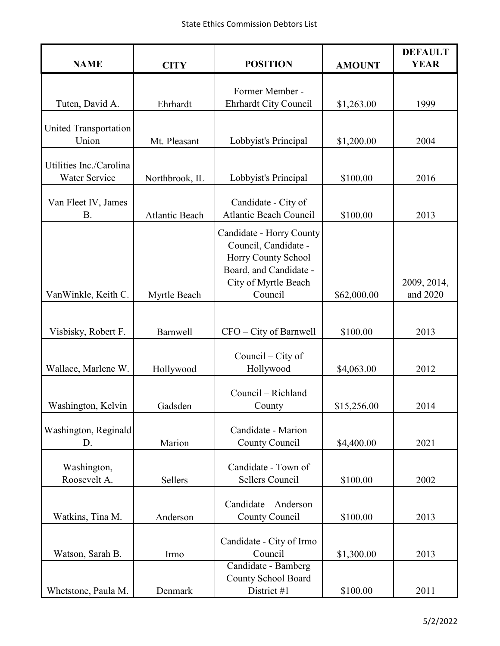| <b>NAME</b>                              | <b>CITY</b>           | <b>POSITION</b>                             | <b>AMOUNT</b> | <b>DEFAULT</b><br><b>YEAR</b> |
|------------------------------------------|-----------------------|---------------------------------------------|---------------|-------------------------------|
|                                          |                       | Former Member -                             |               |                               |
| Tuten, David A.                          | Ehrhardt              | Ehrhardt City Council                       | \$1,263.00    | 1999                          |
|                                          |                       |                                             |               |                               |
| <b>United Transportation</b><br>Union    | Mt. Pleasant          | Lobbyist's Principal                        | \$1,200.00    | 2004                          |
|                                          |                       |                                             |               |                               |
| Utilities Inc./Carolina<br>Water Service |                       |                                             |               |                               |
|                                          | Northbrook, IL        | Lobbyist's Principal                        | \$100.00      | 2016                          |
| Van Fleet IV, James                      |                       | Candidate - City of                         |               |                               |
| <b>B.</b>                                | <b>Atlantic Beach</b> | <b>Atlantic Beach Council</b>               | \$100.00      | 2013                          |
|                                          |                       | Candidate - Horry County                    |               |                               |
|                                          |                       | Council, Candidate -<br>Horry County School |               |                               |
|                                          |                       | Board, and Candidate -                      |               |                               |
|                                          |                       | City of Myrtle Beach                        |               | 2009, 2014,                   |
| VanWinkle, Keith C.                      | Myrtle Beach          | Council                                     | \$62,000.00   | and 2020                      |
|                                          |                       |                                             |               |                               |
| Visbisky, Robert F.                      | <b>Barnwell</b>       | CFO - City of Barnwell                      | \$100.00      | 2013                          |
|                                          |                       | Council – City of                           |               |                               |
| Wallace, Marlene W.                      | Hollywood             | Hollywood                                   | \$4,063.00    | 2012                          |
|                                          |                       |                                             |               |                               |
| Washington, Kelvin                       | Gadsden               | Council - Richland<br>County                | \$15,256.00   | 2014                          |
|                                          |                       |                                             |               |                               |
| Washington, Reginald                     |                       | Candidate - Marion                          |               |                               |
| D.                                       | Marion                | County Council                              | \$4,400.00    | 2021                          |
| Washington,                              |                       | Candidate - Town of                         |               |                               |
| Roosevelt A.                             | Sellers               | Sellers Council                             | \$100.00      | 2002                          |
|                                          |                       |                                             |               |                               |
| Watkins, Tina M.                         | Anderson              | Candidate - Anderson<br>County Council      | \$100.00      | 2013                          |
|                                          |                       |                                             |               |                               |
|                                          |                       | Candidate - City of Irmo                    |               |                               |
| Watson, Sarah B.                         | Irmo                  | Council                                     | \$1,300.00    | 2013                          |
|                                          |                       | Candidate - Bamberg                         |               |                               |
| Whetstone, Paula M.                      | Denmark               | County School Board<br>District #1          | \$100.00      | 2011                          |
|                                          |                       |                                             |               |                               |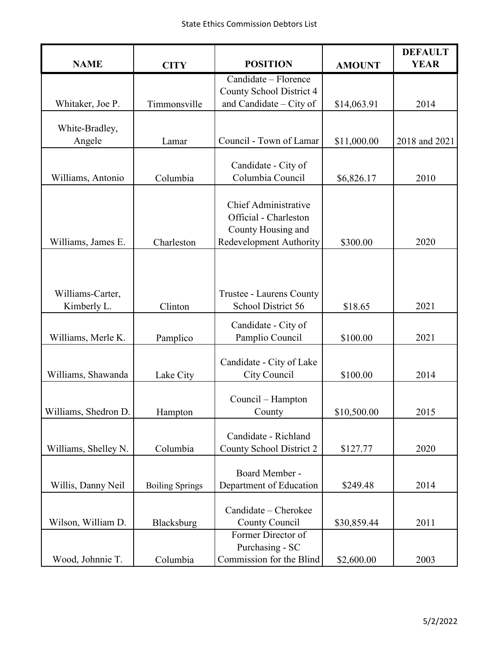| <b>NAME</b>          | <b>CITY</b>            | <b>POSITION</b>             | <b>AMOUNT</b> | <b>DEFAULT</b><br><b>YEAR</b> |
|----------------------|------------------------|-----------------------------|---------------|-------------------------------|
|                      |                        | Candidate - Florence        |               |                               |
|                      |                        | County School District 4    |               |                               |
| Whitaker, Joe P.     | Timmonsville           | and Candidate – City of     | \$14,063.91   | 2014                          |
|                      |                        |                             |               |                               |
| White-Bradley,       |                        |                             |               |                               |
| Angele               | Lamar                  | Council - Town of Lamar     | \$11,000.00   | 2018 and 2021                 |
|                      |                        | Candidate - City of         |               |                               |
| Williams, Antonio    | Columbia               | Columbia Council            | \$6,826.17    | 2010                          |
|                      |                        |                             |               |                               |
|                      |                        | <b>Chief Administrative</b> |               |                               |
|                      |                        | Official - Charleston       |               |                               |
|                      |                        | County Housing and          |               |                               |
| Williams, James E.   | Charleston             | Redevelopment Authority     | \$300.00      | 2020                          |
|                      |                        |                             |               |                               |
|                      |                        |                             |               |                               |
|                      |                        |                             |               |                               |
| Williams-Carter,     |                        | Trustee - Laurens County    |               |                               |
| Kimberly L.          | Clinton                | School District 56          | \$18.65       | 2021                          |
|                      |                        | Candidate - City of         |               |                               |
| Williams, Merle K.   | Pamplico               | Pamplio Council             | \$100.00      | 2021                          |
|                      |                        |                             |               |                               |
|                      |                        | Candidate - City of Lake    |               |                               |
| Williams, Shawanda   | Lake City              | City Council                | \$100.00      | 2014                          |
|                      |                        |                             |               |                               |
|                      |                        | Council - Hampton           |               |                               |
| Williams, Shedron D. | Hampton                | County                      | \$10,500.00   | 2015                          |
|                      |                        | Candidate - Richland        |               |                               |
| Williams, Shelley N. | Columbia               | County School District 2    | \$127.77      | 2020                          |
|                      |                        |                             |               |                               |
|                      |                        | Board Member -              |               |                               |
| Willis, Danny Neil   | <b>Boiling Springs</b> | Department of Education     | \$249.48      | 2014                          |
|                      |                        |                             |               |                               |
|                      |                        | Candidate - Cherokee        |               |                               |
| Wilson, William D.   | Blacksburg             | County Council              | \$30,859.44   | 2011                          |
|                      |                        | Former Director of          |               |                               |
|                      |                        | Purchasing - SC             |               |                               |
| Wood, Johnnie T.     | Columbia               | Commission for the Blind    | \$2,600.00    | 2003                          |